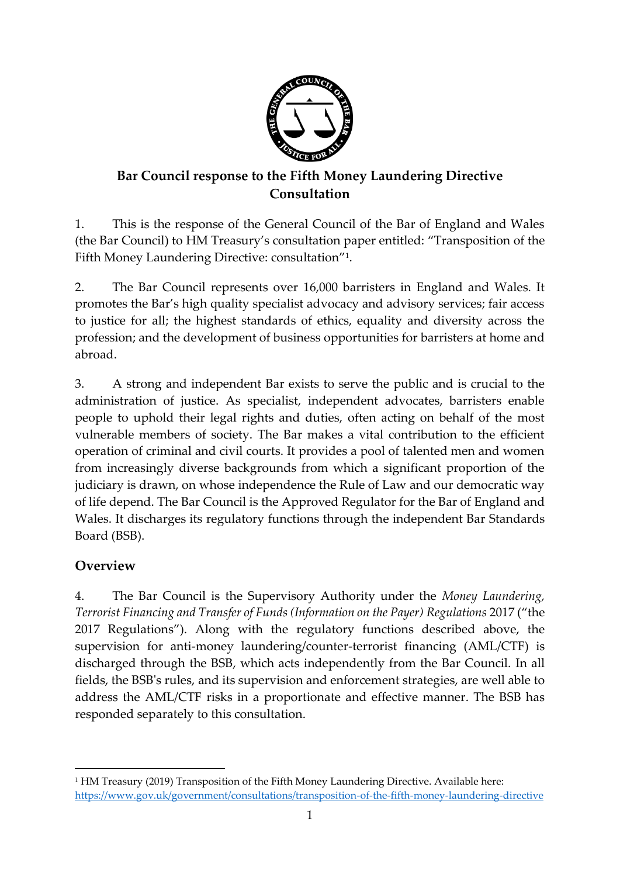

# **Bar Council response to the Fifth Money Laundering Directive Consultation**

1. This is the response of the General Council of the Bar of England and Wales (the Bar Council) to HM Treasury's consultation paper entitled: "Transposition of the Fifth Money Laundering Directive: consultation"<sup>1</sup> .

2. The Bar Council represents over 16,000 barristers in England and Wales. It promotes the Bar's high quality specialist advocacy and advisory services; fair access to justice for all; the highest standards of ethics, equality and diversity across the profession; and the development of business opportunities for barristers at home and abroad.

3. A strong and independent Bar exists to serve the public and is crucial to the administration of justice. As specialist, independent advocates, barristers enable people to uphold their legal rights and duties, often acting on behalf of the most vulnerable members of society. The Bar makes a vital contribution to the efficient operation of criminal and civil courts. It provides a pool of talented men and women from increasingly diverse backgrounds from which a significant proportion of the judiciary is drawn, on whose independence the Rule of Law and our democratic way of life depend. The Bar Council is the Approved Regulator for the Bar of England and Wales. It discharges its regulatory functions through the independent Bar Standards Board (BSB).

# **Overview**

**.** 

4. The Bar Council is the Supervisory Authority under the *Money Laundering, Terrorist Financing and Transfer of Funds (Information on the Payer) Regulations* 2017 ("the 2017 Regulations"). Along with the regulatory functions described above, the supervision for anti-money laundering/counter-terrorist financing (AML/CTF) is discharged through the BSB, which acts independently from the Bar Council. In all fields, the BSB's rules, and its supervision and enforcement strategies, are well able to address the AML/CTF risks in a proportionate and effective manner. The BSB has responded separately to this consultation.

<sup>&</sup>lt;sup>1</sup> HM Treasury (2019) Transposition of the Fifth Money Laundering Directive. Available here: <https://www.gov.uk/government/consultations/transposition-of-the-fifth-money-laundering-directive>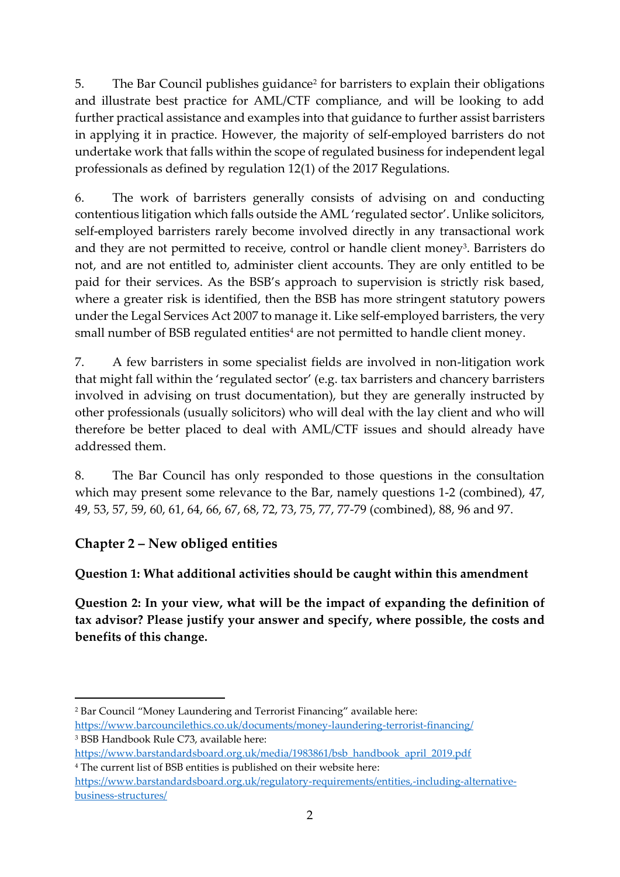5. The Bar Council publishes guidance<sup>2</sup> for barristers to explain their obligations and illustrate best practice for AML/CTF compliance, and will be looking to add further practical assistance and examples into that guidance to further assist barristers in applying it in practice. However, the majority of self-employed barristers do not undertake work that falls within the scope of regulated business for independent legal professionals as defined by regulation 12(1) of the 2017 Regulations.

6. The work of barristers generally consists of advising on and conducting contentious litigation which falls outside the AML 'regulated sector'. Unlike solicitors, self-employed barristers rarely become involved directly in any transactional work and they are not permitted to receive, control or handle client money<sup>3</sup>. Barristers do not, and are not entitled to, administer client accounts. They are only entitled to be paid for their services. As the BSB's approach to supervision is strictly risk based, where a greater risk is identified, then the BSB has more stringent statutory powers under the Legal Services Act 2007 to manage it. Like self-employed barristers, the very small number of BSB regulated entities<sup>4</sup> are not permitted to handle client money.

7. A few barristers in some specialist fields are involved in non-litigation work that might fall within the 'regulated sector' (e.g. tax barristers and chancery barristers involved in advising on trust documentation), but they are generally instructed by other professionals (usually solicitors) who will deal with the lay client and who will therefore be better placed to deal with AML/CTF issues and should already have addressed them.

8. The Bar Council has only responded to those questions in the consultation which may present some relevance to the Bar, namely questions 1-2 (combined), 47, 49, 53, 57, 59, 60, 61, 64, 66, 67, 68, 72, 73, 75, 77, 77-79 (combined), 88, 96 and 97.

#### **Chapter 2 – New obliged entities**

#### **Question 1: What additional activities should be caught within this amendment**

**Question 2: In your view, what will be the impact of expanding the definition of tax advisor? Please justify your answer and specify, where possible, the costs and benefits of this change.**

**<sup>.</sup>** <sup>2</sup> Bar Council "Money Laundering and Terrorist Financing" available here: <https://www.barcouncilethics.co.uk/documents/money-laundering-terrorist-financing/> <sup>3</sup> BSB Handbook Rule C73, available here:

[https://www.barstandardsboard.org.uk/media/1983861/bsb\\_handbook\\_april\\_2019.pdf](https://www.barstandardsboard.org.uk/media/1983861/bsb_handbook_april_2019.pdf) <sup>4</sup> The current list of BSB entities is published on their website here:

[https://www.barstandardsboard.org.uk/regulatory-requirements/entities,-including-alternative](https://www.barstandardsboard.org.uk/regulatory-requirements/entities,-including-alternative-business-structures/)[business-structures/](https://www.barstandardsboard.org.uk/regulatory-requirements/entities,-including-alternative-business-structures/)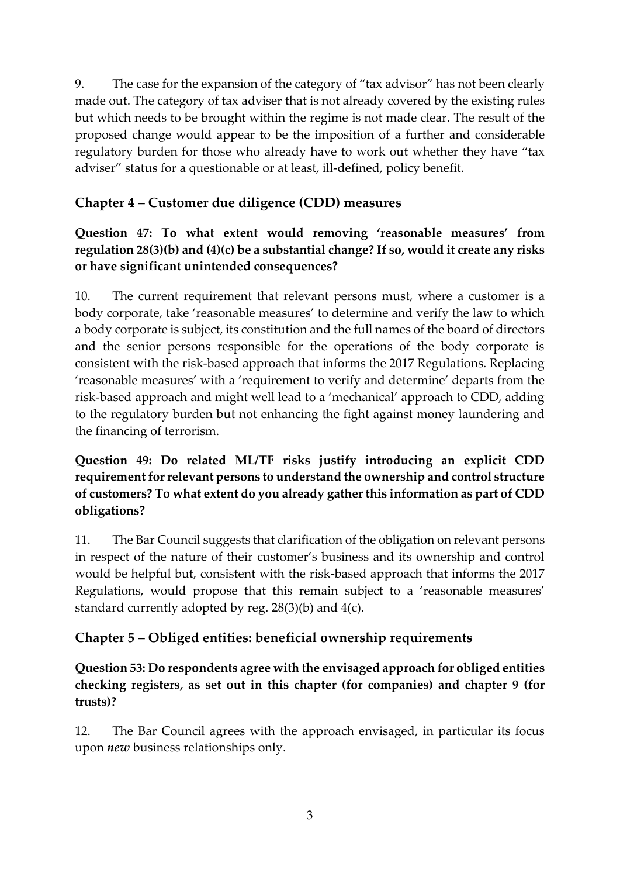9. The case for the expansion of the category of "tax advisor" has not been clearly made out. The category of tax adviser that is not already covered by the existing rules but which needs to be brought within the regime is not made clear. The result of the proposed change would appear to be the imposition of a further and considerable regulatory burden for those who already have to work out whether they have "tax adviser" status for a questionable or at least, ill-defined, policy benefit.

### **Chapter 4 – Customer due diligence (CDD) measures**

**Question 47: To what extent would removing 'reasonable measures' from regulation 28(3)(b) and (4)(c) be a substantial change? If so, would it create any risks or have significant unintended consequences?**

10. The current requirement that relevant persons must, where a customer is a body corporate, take 'reasonable measures' to determine and verify the law to which a body corporate is subject, its constitution and the full names of the board of directors and the senior persons responsible for the operations of the body corporate is consistent with the risk-based approach that informs the 2017 Regulations. Replacing 'reasonable measures' with a 'requirement to verify and determine' departs from the risk-based approach and might well lead to a 'mechanical' approach to CDD, adding to the regulatory burden but not enhancing the fight against money laundering and the financing of terrorism.

#### **Question 49: Do related ML/TF risks justify introducing an explicit CDD requirement for relevant persons to understand the ownership and control structure of customers? To what extent do you already gather this information as part of CDD obligations?**

11. The Bar Council suggests that clarification of the obligation on relevant persons in respect of the nature of their customer's business and its ownership and control would be helpful but, consistent with the risk-based approach that informs the 2017 Regulations, would propose that this remain subject to a 'reasonable measures' standard currently adopted by reg. 28(3)(b) and 4(c).

# **Chapter 5 – Obliged entities: beneficial ownership requirements**

**Question 53: Do respondents agree with the envisaged approach for obliged entities checking registers, as set out in this chapter (for companies) and chapter 9 (for trusts)?**

12. The Bar Council agrees with the approach envisaged, in particular its focus upon *new* business relationships only.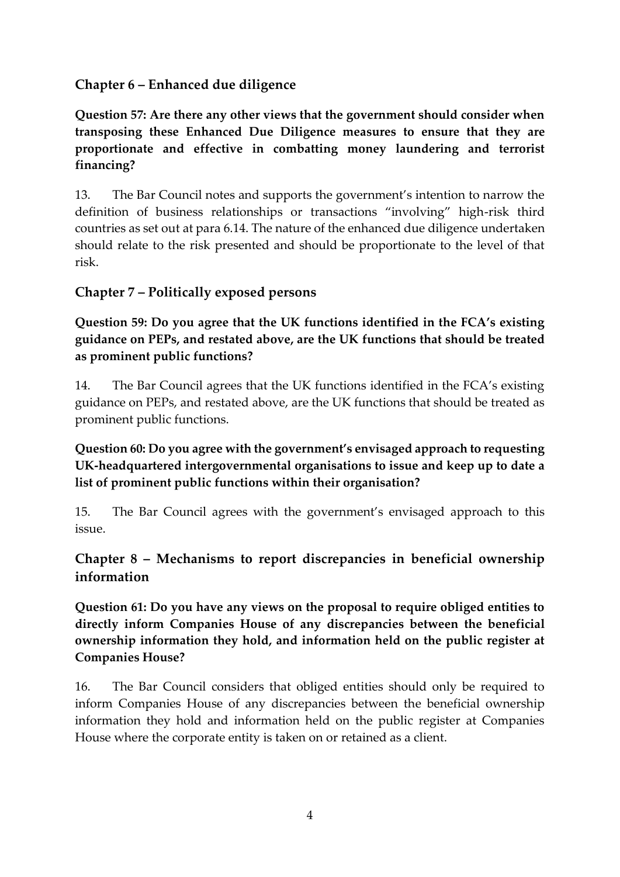#### **Chapter 6 – Enhanced due diligence**

**Question 57: Are there any other views that the government should consider when transposing these Enhanced Due Diligence measures to ensure that they are proportionate and effective in combatting money laundering and terrorist financing?**

13. The Bar Council notes and supports the government's intention to narrow the definition of business relationships or transactions "involving" high-risk third countries as set out at para 6.14. The nature of the enhanced due diligence undertaken should relate to the risk presented and should be proportionate to the level of that risk.

#### **Chapter 7 – Politically exposed persons**

**Question 59: Do you agree that the UK functions identified in the FCA's existing guidance on PEPs, and restated above, are the UK functions that should be treated as prominent public functions?**

14. The Bar Council agrees that the UK functions identified in the FCA's existing guidance on PEPs, and restated above, are the UK functions that should be treated as prominent public functions.

**Question 60: Do you agree with the government's envisaged approach to requesting UK-headquartered intergovernmental organisations to issue and keep up to date a list of prominent public functions within their organisation?**

15. The Bar Council agrees with the government's envisaged approach to this issue.

# **Chapter 8 – Mechanisms to report discrepancies in beneficial ownership information**

**Question 61: Do you have any views on the proposal to require obliged entities to directly inform Companies House of any discrepancies between the beneficial ownership information they hold, and information held on the public register at Companies House?**

16. The Bar Council considers that obliged entities should only be required to inform Companies House of any discrepancies between the beneficial ownership information they hold and information held on the public register at Companies House where the corporate entity is taken on or retained as a client.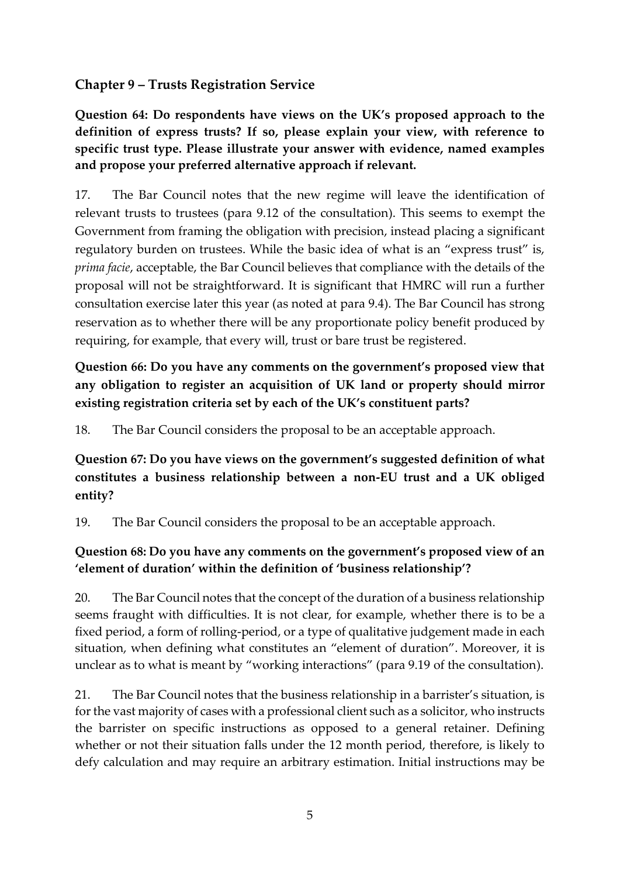#### **Chapter 9 – Trusts Registration Service**

**Question 64: Do respondents have views on the UK's proposed approach to the definition of express trusts? If so, please explain your view, with reference to specific trust type. Please illustrate your answer with evidence, named examples and propose your preferred alternative approach if relevant.**

17. The Bar Council notes that the new regime will leave the identification of relevant trusts to trustees (para 9.12 of the consultation). This seems to exempt the Government from framing the obligation with precision, instead placing a significant regulatory burden on trustees. While the basic idea of what is an "express trust" is, *prima facie*, acceptable, the Bar Council believes that compliance with the details of the proposal will not be straightforward. It is significant that HMRC will run a further consultation exercise later this year (as noted at para 9.4). The Bar Council has strong reservation as to whether there will be any proportionate policy benefit produced by requiring, for example, that every will, trust or bare trust be registered.

# **Question 66: Do you have any comments on the government's proposed view that any obligation to register an acquisition of UK land or property should mirror existing registration criteria set by each of the UK's constituent parts?**

18. The Bar Council considers the proposal to be an acceptable approach.

**Question 67: Do you have views on the government's suggested definition of what constitutes a business relationship between a non-EU trust and a UK obliged entity?**

19. The Bar Council considers the proposal to be an acceptable approach.

### **Question 68: Do you have any comments on the government's proposed view of an 'element of duration' within the definition of 'business relationship'?**

20. The Bar Council notes that the concept of the duration of a business relationship seems fraught with difficulties. It is not clear, for example, whether there is to be a fixed period, a form of rolling-period, or a type of qualitative judgement made in each situation, when defining what constitutes an "element of duration". Moreover, it is unclear as to what is meant by "working interactions" (para 9.19 of the consultation).

21. The Bar Council notes that the business relationship in a barrister's situation, is for the vast majority of cases with a professional client such as a solicitor, who instructs the barrister on specific instructions as opposed to a general retainer. Defining whether or not their situation falls under the 12 month period, therefore, is likely to defy calculation and may require an arbitrary estimation. Initial instructions may be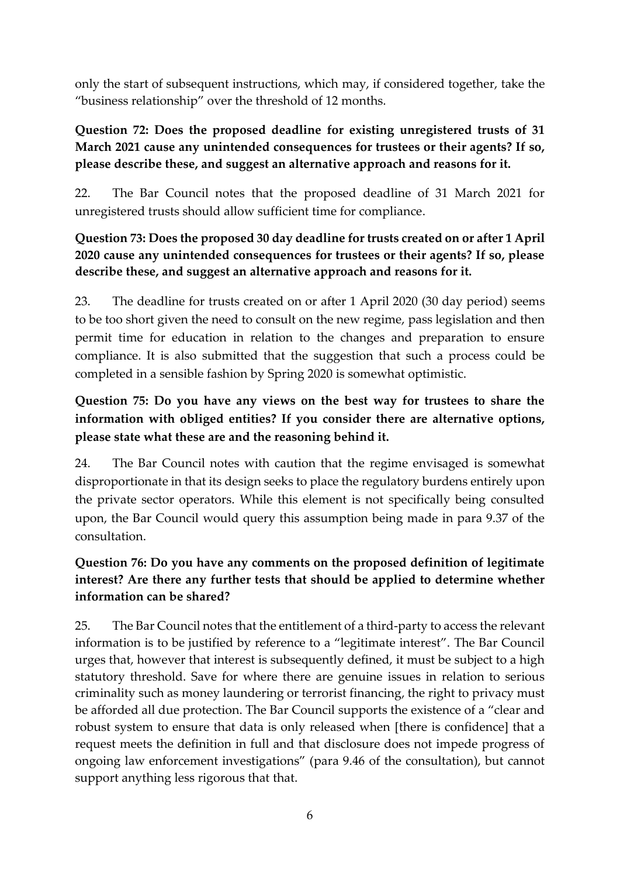only the start of subsequent instructions, which may, if considered together, take the "business relationship" over the threshold of 12 months.

#### **Question 72: Does the proposed deadline for existing unregistered trusts of 31 March 2021 cause any unintended consequences for trustees or their agents? If so, please describe these, and suggest an alternative approach and reasons for it.**

22. The Bar Council notes that the proposed deadline of 31 March 2021 for unregistered trusts should allow sufficient time for compliance.

### **Question 73: Does the proposed 30 day deadline for trusts created on or after 1 April 2020 cause any unintended consequences for trustees or their agents? If so, please describe these, and suggest an alternative approach and reasons for it.**

23. The deadline for trusts created on or after 1 April 2020 (30 day period) seems to be too short given the need to consult on the new regime, pass legislation and then permit time for education in relation to the changes and preparation to ensure compliance. It is also submitted that the suggestion that such a process could be completed in a sensible fashion by Spring 2020 is somewhat optimistic.

# **Question 75: Do you have any views on the best way for trustees to share the information with obliged entities? If you consider there are alternative options, please state what these are and the reasoning behind it.**

24. The Bar Council notes with caution that the regime envisaged is somewhat disproportionate in that its design seeks to place the regulatory burdens entirely upon the private sector operators. While this element is not specifically being consulted upon, the Bar Council would query this assumption being made in para 9.37 of the consultation.

# **Question 76: Do you have any comments on the proposed definition of legitimate interest? Are there any further tests that should be applied to determine whether information can be shared?**

25. The Bar Council notes that the entitlement of a third-party to access the relevant information is to be justified by reference to a "legitimate interest". The Bar Council urges that, however that interest is subsequently defined, it must be subject to a high statutory threshold. Save for where there are genuine issues in relation to serious criminality such as money laundering or terrorist financing, the right to privacy must be afforded all due protection. The Bar Council supports the existence of a "clear and robust system to ensure that data is only released when [there is confidence] that a request meets the definition in full and that disclosure does not impede progress of ongoing law enforcement investigations" (para 9.46 of the consultation), but cannot support anything less rigorous that that.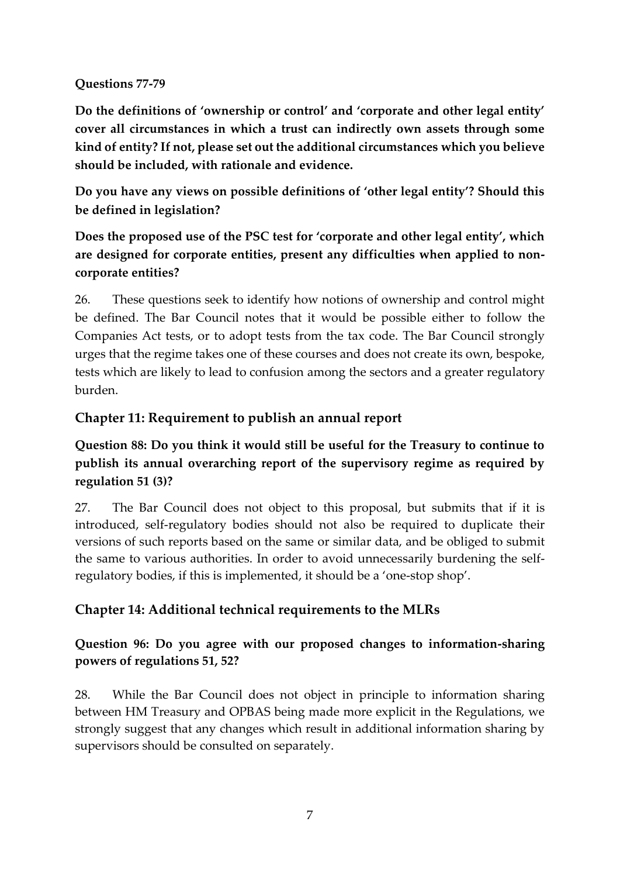#### **Questions 77-79**

**Do the definitions of 'ownership or control' and 'corporate and other legal entity' cover all circumstances in which a trust can indirectly own assets through some kind of entity? If not, please set out the additional circumstances which you believe should be included, with rationale and evidence.** 

**Do you have any views on possible definitions of 'other legal entity'? Should this be defined in legislation?**

**Does the proposed use of the PSC test for 'corporate and other legal entity', which are designed for corporate entities, present any difficulties when applied to noncorporate entities?**

26. These questions seek to identify how notions of ownership and control might be defined. The Bar Council notes that it would be possible either to follow the Companies Act tests, or to adopt tests from the tax code. The Bar Council strongly urges that the regime takes one of these courses and does not create its own, bespoke, tests which are likely to lead to confusion among the sectors and a greater regulatory burden.

# **Chapter 11: Requirement to publish an annual report**

# **Question 88: Do you think it would still be useful for the Treasury to continue to publish its annual overarching report of the supervisory regime as required by regulation 51 (3)?**

27. The Bar Council does not object to this proposal, but submits that if it is introduced, self-regulatory bodies should not also be required to duplicate their versions of such reports based on the same or similar data, and be obliged to submit the same to various authorities. In order to avoid unnecessarily burdening the selfregulatory bodies, if this is implemented, it should be a 'one-stop shop'.

# **Chapter 14: Additional technical requirements to the MLRs**

### **Question 96: Do you agree with our proposed changes to information-sharing powers of regulations 51, 52?**

28. While the Bar Council does not object in principle to information sharing between HM Treasury and OPBAS being made more explicit in the Regulations, we strongly suggest that any changes which result in additional information sharing by supervisors should be consulted on separately.